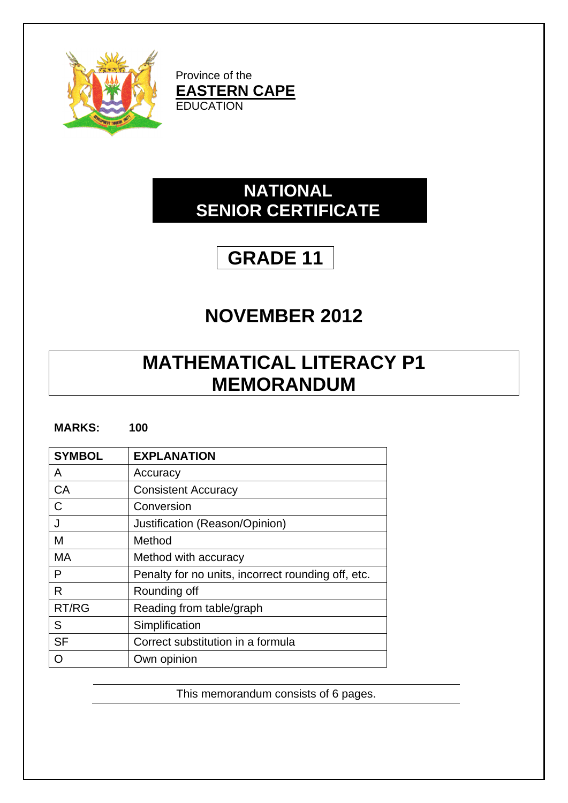

Province of the **EASTERN CAPE EDUCATION** 

## **NATIONAL SENIOR CERTIFICATE**

## **GRADE 11**

## **NOVEMBER 2012**

## **MATHEMATICAL LITERACY P1 MEMORANDUM**

| <b>MARKS:</b> | 100 |
|---------------|-----|
|---------------|-----|

| <b>SYMBOL</b> | <b>EXPLANATION</b>                                 |
|---------------|----------------------------------------------------|
| A             | Accuracy                                           |
| CA            | <b>Consistent Accuracy</b>                         |
| C             | Conversion                                         |
| J             | Justification (Reason/Opinion)                     |
| М             | Method                                             |
| MA            | Method with accuracy                               |
| P             | Penalty for no units, incorrect rounding off, etc. |
| R             | Rounding off                                       |
| RT/RG         | Reading from table/graph                           |
| S             | Simplification                                     |
| <b>SF</b>     | Correct substitution in a formula                  |
|               | Own opinion                                        |

This memorandum consists of 6 pages.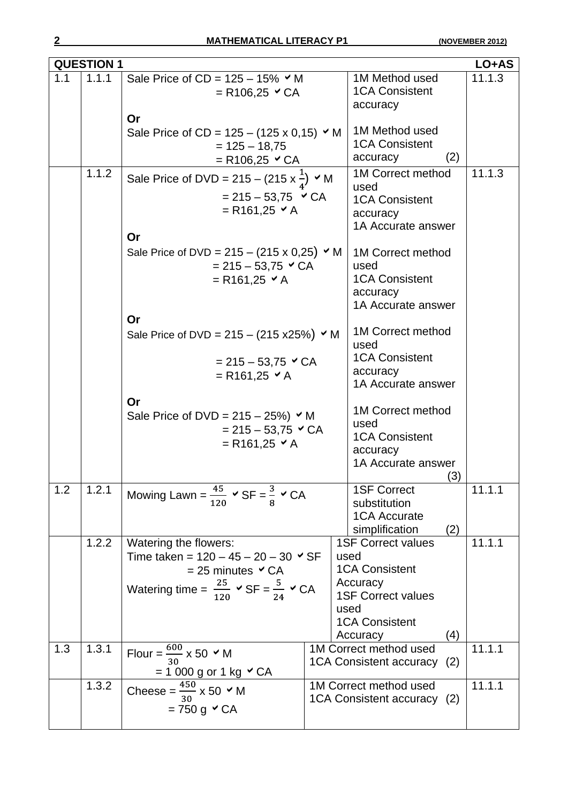|     | <b>QUESTION 1</b> |                                                                                                                                                                                             |                                                                                                                                                                   | LO+AS                                                                                        |
|-----|-------------------|---------------------------------------------------------------------------------------------------------------------------------------------------------------------------------------------|-------------------------------------------------------------------------------------------------------------------------------------------------------------------|----------------------------------------------------------------------------------------------|
| 1.1 | 1.1.1             | Sale Price of $CD = 125 - 15\%$ $\checkmark$ M<br>$= R106, 25 \times CA$                                                                                                                    | 11.1.3<br>1M Method used<br><b>1CA Consistent</b><br>accuracy                                                                                                     |                                                                                              |
|     |                   | Or<br>Sale Price of CD = $125 - (125 \times 0.15)$ $\times$ M<br>$= 125 - 18,75$<br>$= R106, 25 \times CA$                                                                                  |                                                                                                                                                                   | 1M Method used<br><b>1CA Consistent</b><br>(2)<br>accuracy                                   |
|     | 1.1.2             | Sale Price of DVD = 215 – (215 x $\frac{1}{4}$ ) $\times$ M<br>$= 215 - 53,75$ $\vee$ CA<br>$= R161,25 \times A$                                                                            | 1M Correct method<br>11.1.3<br>used<br><b>1CA Consistent</b><br>accuracy<br>1A Accurate answer                                                                    |                                                                                              |
|     |                   | Or<br>Sale Price of DVD = $215 - (215 \times 0.25)$ $\times$ M<br>$= 215 - 53,75 \times CA$<br>$= R161,25 \times A$                                                                         | 1M Correct method<br>used<br><b>1CA Consistent</b><br>accuracy<br>1A Accurate answer                                                                              |                                                                                              |
|     |                   | Or<br>Sale Price of DVD = $215 - (215 \times 25%)$ $\vee$ M<br>$= 215 - 53,75 \times CA$<br>$= R161,25 \times A$                                                                            | 1M Correct method<br>used<br><b>1CA Consistent</b><br>accuracy<br>1A Accurate answer                                                                              |                                                                                              |
|     |                   | Or<br>Sale Price of DVD = $215 - 25\%$ ) $\times$ M<br>$= 215 - 53,75$ $\vee$ CA<br>$= R161,25 \times A$                                                                                    | 1M Correct method<br>used<br><b>1CA Consistent</b><br>accuracy<br>1A Accurate answer<br>(3)                                                                       |                                                                                              |
| 1.2 | 1.2.1             | Mowing Lawn = $\frac{45}{120}$ $\checkmark$ SF = $\frac{3}{8}$ $\checkmark$ CA                                                                                                              |                                                                                                                                                                   | 11.1.1<br><b>1SF Correct</b><br>substitution<br><b>1CA Accurate</b><br>simplification<br>(2) |
|     | 1.2.2             | Watering the flowers:<br>Time taken = $120 - 45 - 20 - 30$ $\checkmark$ SF<br>$= 25$ minutes $\vee$ CA<br>Watering time = $\frac{25}{120}$ $\checkmark$ SF = $\frac{5}{24}$ $\checkmark$ CA | 11.1.1<br><b>1SF Correct values</b><br>used<br><b>1CA Consistent</b><br>Accuracy<br><b>1SF Correct values</b><br>used<br><b>1CA Consistent</b><br>(4)<br>Accuracy |                                                                                              |
| 1.3 | 1.3.1             | Flour = $\frac{600}{30}$ x 50 $\cdot$ M<br>$= 1000$ g or 1 kg $\checkmark$ CA                                                                                                               |                                                                                                                                                                   | 11.1.1<br>1M Correct method used<br>1CA Consistent accuracy (2)                              |
|     | 1.3.2             | Cheese = $\frac{450}{30}$ x 50 $\vee$ M<br>$= 750$ g $\vee$ CA                                                                                                                              |                                                                                                                                                                   | 11.1.1<br>1M Correct method used<br>1CA Consistent accuracy (2)                              |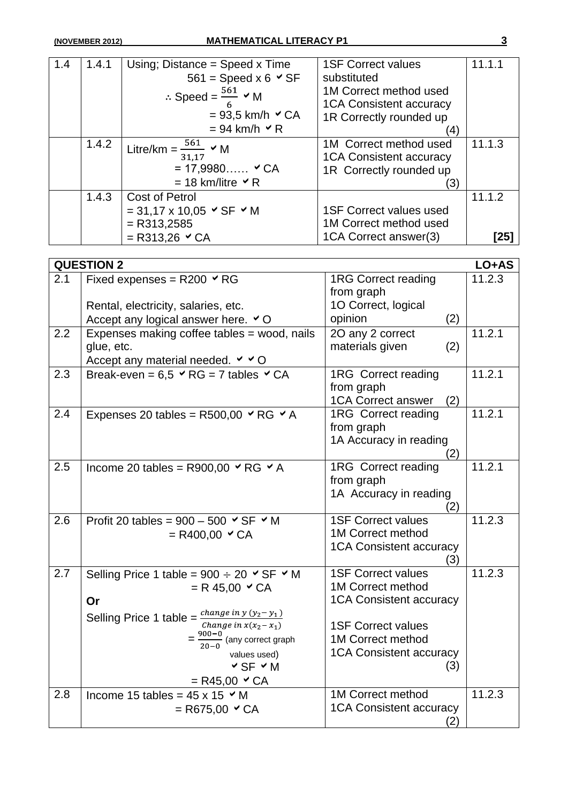| 1.4 | 1.4.1 | Using; Distance = $Speed x Time$          | <b>1SF Correct values</b>      | 11.1.1 |
|-----|-------|-------------------------------------------|--------------------------------|--------|
|     |       | $561 = Speed \times 6 \times SF$          | substituted                    |        |
|     |       | ∴ Speed = $\frac{561}{6}$ $\checkmark$ M  | 1M Correct method used         |        |
|     |       |                                           | <b>1CA Consistent accuracy</b> |        |
|     |       | $= 93.5$ km/h $\vee$ CA                   | 1R Correctly rounded up        |        |
|     |       | $= 94$ km/h $\vee$ R                      | (4)                            |        |
|     | 1.4.2 | Litre/km = $\frac{561}{2}$ $\times$ M     | 1M Correct method used         | 11.1.3 |
|     |       | 31.17                                     | <b>1CA Consistent accuracy</b> |        |
|     |       | $= 17,9980$ $\checkmark$ CA               | 1R Correctly rounded up        |        |
|     |       | $= 18$ km/litre $\vee$ R                  | (3)                            |        |
|     | 1.4.3 | Cost of Petrol                            |                                | 11.1.2 |
|     |       | $= 31,17 \times 10,05 \times SF \times M$ | <b>1SF Correct values used</b> |        |
|     |       | $=$ R313,2585                             | 1M Correct method used         |        |
|     |       | $=$ R313,26 $\vee$ CA                     | 1CA Correct answer(3)          | [25]   |

|     | <b>QUESTION 2</b>                                                    |                                          | LO+AS  |
|-----|----------------------------------------------------------------------|------------------------------------------|--------|
| 2.1 | Fixed expenses = $R200 \times RG$                                    | <b>1RG Correct reading</b><br>from graph | 11.2.3 |
|     | Rental, electricity, salaries, etc.                                  | 1O Correct, logical                      |        |
|     | Accept any logical answer here. $\vee$ O                             | opinion<br>(2)                           |        |
| 2.2 | Expenses making coffee tables = wood, nails                          | 20 any 2 correct                         | 11.2.1 |
|     | glue, etc.                                                           | materials given<br>(2)                   |        |
|     | Accept any material needed. $\vee$ $\vee$ O                          |                                          |        |
| 2.3 | Break-even = $6.5 \times RG = 7$ tables $\times CA$                  | 1RG Correct reading                      | 11.2.1 |
|     |                                                                      | from graph                               |        |
|     |                                                                      | <b>1CA Correct answer</b><br>(2)         | 11.2.1 |
| 2.4 | Expenses 20 tables = R500,00 $\vee$ RG $\vee$ A                      | 1RG Correct reading<br>from graph        |        |
|     |                                                                      | 1A Accuracy in reading                   |        |
|     |                                                                      | (2)                                      |        |
| 2.5 | Income 20 tables = R900,00 $\vee$ RG $\vee$ A                        | 1RG Correct reading                      | 11.2.1 |
|     |                                                                      | from graph                               |        |
|     |                                                                      | 1A Accuracy in reading                   |        |
|     |                                                                      | (2)                                      |        |
| 2.6 | Profit 20 tables = $900 - 500 \times SF \times M$                    | <b>1SF Correct values</b>                | 11.2.3 |
|     | $= R400,00 \times CA$                                                | 1M Correct method                        |        |
|     |                                                                      | <b>1CA Consistent accuracy</b>           |        |
| 2.7 | Selling Price 1 table = $900 \div 20$ $\checkmark$ SF $\checkmark$ M | (3)<br><b>1SF Correct values</b>         | 11.2.3 |
|     | $= R 45,00 \times CA$                                                | 1M Correct method                        |        |
|     | Or                                                                   | <b>1CA Consistent accuracy</b>           |        |
|     | Selling Price 1 table = $\frac{change\ in\ y\ (y_2 - y_1)}{x_1}$     |                                          |        |
|     | Change in $x(x_2-x_1)$                                               | <b>1SF Correct values</b>                |        |
|     | $=\frac{900-0}{20-0}$ (any correct graph                             | 1M Correct method                        |        |
|     | values used)                                                         | <b>1CA Consistent accuracy</b>           |        |
|     | $\vee$ SF $\vee$ M                                                   | (3)                                      |        |
|     | $=$ R45,00 $\vee$ CA                                                 |                                          |        |
| 2.8 | Income 15 tables = $45 \times 15$ $\times$ M                         | 1M Correct method                        | 11.2.3 |
|     | $=$ R675,00 $\vee$ CA                                                | <b>1CA Consistent accuracy</b>           |        |
|     |                                                                      | (2)                                      |        |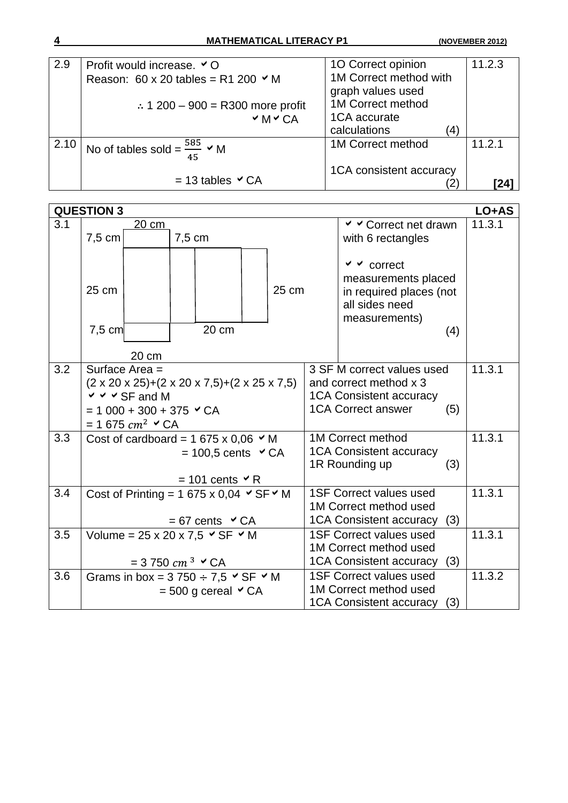| 2.9  | Profit would increase. <b>○</b> O                   | 10 Correct opinion                  | 11.2.3 |
|------|-----------------------------------------------------|-------------------------------------|--------|
|      | Reason: 60 x 20 tables = R1 200 $\times$ M          | 1M Correct method with              |        |
|      |                                                     | graph values used                   |        |
|      | ∴ 1 200 – 900 = R300 more profit                    | 1M Correct method                   |        |
|      | $~\checkmark$ M $~\checkmark$ CA                    | 1CA accurate                        |        |
|      |                                                     | calculations<br>$\langle 4 \rangle$ |        |
| 2.10 | No of tables sold = $\frac{585}{45}$ $\checkmark$ M | 1M Correct method                   | 11.2.1 |
|      | $= 13$ tables $\vee$ CA                             | 1CA consistent accuracy             | [24]   |

|     | <b>QUESTION 3</b>                                                               |                                                                             |        |                                |                        |        |                                |     | LO+AS  |
|-----|---------------------------------------------------------------------------------|-----------------------------------------------------------------------------|--------|--------------------------------|------------------------|--------|--------------------------------|-----|--------|
| 3.1 |                                                                                 | 20 cm                                                                       |        |                                |                        |        | <b>V V</b> Correct net drawn   |     | 11.3.1 |
|     | $7,5$ cm                                                                        |                                                                             | 7,5 cm |                                |                        |        | with 6 rectangles              |     |        |
|     |                                                                                 |                                                                             |        |                                |                        |        |                                |     |        |
|     |                                                                                 |                                                                             |        |                                |                        |        | $\vee$ $\vee$ correct          |     |        |
|     |                                                                                 |                                                                             |        |                                |                        |        | measurements placed            |     |        |
|     | 25 cm                                                                           |                                                                             |        |                                |                        | 25 cm  | in required places (not        |     |        |
|     |                                                                                 |                                                                             |        |                                |                        |        | all sides need                 |     |        |
|     | $7,5$ cm                                                                        |                                                                             |        | 20 cm                          |                        |        | measurements)                  | (4) |        |
|     |                                                                                 |                                                                             |        |                                |                        |        |                                |     |        |
|     |                                                                                 | 20 cm                                                                       |        |                                |                        |        |                                |     |        |
| 3.2 |                                                                                 | Surface Area =                                                              |        |                                |                        |        | 3 SF M correct values used     |     | 11.3.1 |
|     |                                                                                 | $(2 \times 20 \times 25)+(2 \times 20 \times 7,5)+(2 \times 25 \times 7,5)$ |        |                                |                        |        | and correct method x 3         |     |        |
|     |                                                                                 | $\vee$ $\vee$ $\vee$ SF and M                                               |        |                                |                        |        | <b>1CA Consistent accuracy</b> |     |        |
|     |                                                                                 | $= 1000 + 300 + 375$ $\checkmark$ CA                                        |        |                                |                        |        | <b>1CA Correct answer</b>      | (5) |        |
|     |                                                                                 | = 1 675 $cm^2$ $\sim$ CA                                                    |        |                                |                        |        |                                |     |        |
| 3.3 |                                                                                 | Cost of cardboard = 1 675 x 0,06 $\times$ M                                 |        |                                |                        |        | 1M Correct method              |     | 11.3.1 |
|     |                                                                                 |                                                                             |        | $= 100,5$ cents $\vee$ CA      |                        |        | <b>1CA Consistent accuracy</b> |     |        |
|     |                                                                                 |                                                                             |        |                                |                        |        | 1R Rounding up                 | (3) |        |
|     |                                                                                 |                                                                             |        | $= 101$ cents $\vee$ R         |                        |        | <b>1SF Correct values used</b> |     | 11.3.1 |
| 3.4 | Cost of Printing = 1 675 x 0,04 $\vee$ SF $\vee$ M                              |                                                                             |        |                                | 1M Correct method used |        |                                |     |        |
|     |                                                                                 |                                                                             |        |                                |                        |        | <b>1CA Consistent accuracy</b> | (3) |        |
| 3.5 | $= 67$ cents $\vee$ CA<br>Volume = $25 \times 20 \times 7,5 \times SF \times M$ |                                                                             |        | <b>1SF Correct values used</b> |                        | 11.3.1 |                                |     |        |
|     |                                                                                 |                                                                             |        |                                |                        |        | 1M Correct method used         |     |        |
|     |                                                                                 | $=$ 3750 $cm^{3}$ $\sim$ CA                                                 |        |                                |                        |        | <b>1CA Consistent accuracy</b> | (3) |        |
| 3.6 |                                                                                 | Grams in box = $3\,750 \div 7.5$ $\vee$ SF $\vee$ M                         |        |                                |                        |        | <b>1SF Correct values used</b> |     | 11.3.2 |
|     |                                                                                 |                                                                             |        | $= 500$ g cereal $\vee$ CA     |                        |        | 1M Correct method used         |     |        |
|     |                                                                                 |                                                                             |        |                                |                        |        | <b>1CA Consistent accuracy</b> | (3) |        |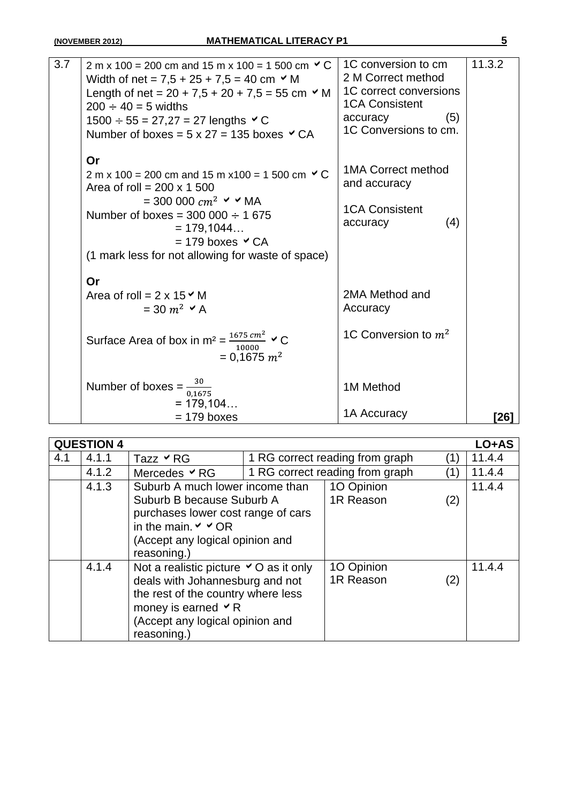| 3.7 | 2 m x 100 = 200 cm and 15 m x 100 = 1 500 cm $\vee$ C<br>Width of net = $7.5 + 25 + 7.5 = 40$ cm $\vee$ M<br>Length of net = $20 + 7.5 + 20 + 7.5 = 55$ cm $\vee$ M<br>$200 \div 40 = 5$ widths<br>$1500 \div 55 = 27,27 = 27$ lengths $\checkmark$ C<br>Number of boxes = $5 \times 27 = 135$ boxes $\vee$ CA | 1C conversion to cm<br>2 M Correct method<br>1C correct conversions<br><b>1CA Consistent</b><br>(5)<br>accuracy<br>1C Conversions to cm. | 11.3.2 |
|-----|----------------------------------------------------------------------------------------------------------------------------------------------------------------------------------------------------------------------------------------------------------------------------------------------------------------|------------------------------------------------------------------------------------------------------------------------------------------|--------|
|     | Or<br>2 m x 100 = 200 cm and 15 m x 100 = 1 500 cm $\vee$ C<br>Area of roll = $200 \times 1500$<br>$= 300 000 cm^2$ $\vee$ $\vee$ MA<br>Number of boxes = $300\,000 \div 1\,675$<br>$= 179, 1044$<br>$= 179$ boxes $\vee$ CA<br>(1 mark less for not allowing for waste of space)                              | 1MA Correct method<br>and accuracy<br><b>1CA Consistent</b><br>(4)<br>accuracy                                                           |        |
|     | Or<br>Area of roll = $2 \times 15 \times M$<br>$=$ 30 $m^2 \times A$<br>Surface Area of box in m <sup>2</sup> = $\frac{1675 \text{ cm}^2}{10000}$ $\checkmark$ C<br>$= 0,1675$ $m2$                                                                                                                            | 2MA Method and<br>Accuracy<br>1C Conversion to $m^2$                                                                                     |        |
|     | Number of boxes = $\frac{30}{0,1675}$<br>$= 179, 104$<br>$= 179$ boxes                                                                                                                                                                                                                                         | 1M Method<br>1A Accuracy                                                                                                                 | [26]   |

|     | <b>QUESTION 4</b> |                                                                                                                                                                                                    |                         |                                 |              | LO+AS  |
|-----|-------------------|----------------------------------------------------------------------------------------------------------------------------------------------------------------------------------------------------|-------------------------|---------------------------------|--------------|--------|
| 4.1 | 4.1.1             | Tazz $\times$ RG                                                                                                                                                                                   |                         | 1 RG correct reading from graph | $\mathbf{1}$ | 11.4.4 |
|     | 4.1.2             | Mercedes $\vee$ RG                                                                                                                                                                                 |                         | 1 RG correct reading from graph | (1)          | 11.4.4 |
|     | 4.1.3             | Suburb A much lower income than<br>Suburb B because Suburb A<br>purchases lower cost range of cars<br>in the main. $\vee \vee$ OR<br>(Accept any logical opinion and<br>reasoning.)                | 10 Opinion<br>1R Reason | (2)                             | 11.4.4       |        |
|     | 4.1.4             | Not a realistic picture $\vee$ O as it only<br>deals with Johannesburg and not<br>the rest of the country where less<br>money is earned $\vee$ R<br>(Accept any logical opinion and<br>reasoning.) |                         | 10 Opinion<br>1R Reason         | (2)          | 11.4.4 |